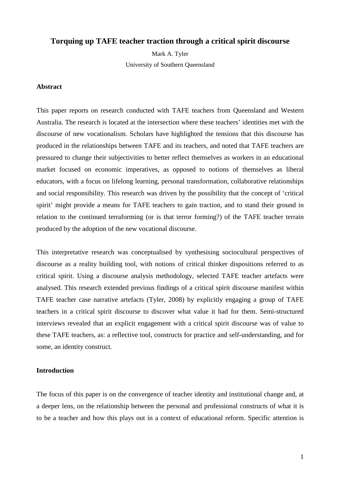# **Torquing up TAFE teacher traction through a critical spirit discourse**

Mark A. Tyler University of Southern Queensland

### **Abstract**

This paper reports on research conducted with TAFE teachers from Queensland and Western Australia. The research is located at the intersection where these teachers' identities met with the discourse of new vocationalism. Scholars have highlighted the tensions that this discourse has produced in the relationships between TAFE and its teachers, and noted that TAFE teachers are pressured to change their subjectivities to better reflect themselves as workers in an educational market focused on economic imperatives, as opposed to notions of themselves as liberal educators, with a focus on lifelong learning, personal transformation, collaborative relationships and social responsibility. This research was driven by the possibility that the concept of 'critical spirit' might provide a means for TAFE teachers to gain traction, and to stand their ground in relation to the continued terraforming (or is that terror forming?) of the TAFE teacher terrain produced by the adoption of the new vocational discourse.

This interpretative research was conceptualised by synthesising sociocultural perspectives of discourse as a reality building tool, with notions of critical thinker dispositions referred to as critical spirit. Using a discourse analysis methodology, selected TAFE teacher artefacts were analysed. This research extended previous findings of a critical spirit discourse manifest within TAFE teacher case narrative artefacts (Tyler, 2008) by explicitly engaging a group of TAFE teachers in a critical spirit discourse to discover what value it had for them. Semi-structured interviews revealed that an explicit engagement with a critical spirit discourse was of value to these TAFE teachers, as: a reflective tool, constructs for practice and self-understanding, and for some, an identity construct.

#### **Introduction**

The focus of this paper is on the convergence of teacher identity and institutional change and, at a deeper lens, on the relationship between the personal and professional constructs of what it is to be a teacher and how this plays out in a context of educational reform. Specific attention is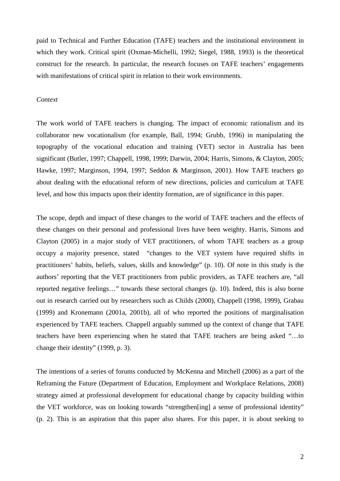paid to Technical and Further Education (TAFE) teachers and the institutional environment in which they work. Critical spirit (Oxman-Michelli, 1992; Siegel, 1988, 1993) is the theoretical construct for the research. In particular, the research focuses on TAFE teachers' engagements with manifestations of critical spirit in relation to their work environments.

### *Context*

The work world of TAFE teachers is changing. The impact of economic rationalism and its collaborator new vocationalism (for example, Ball, 1994; Grubb, 1996) in manipulating the topography of the vocational education and training (VET) sector in Australia has been significant (Butler, 1997; Chappell, 1998, 1999; Darwin, 2004; Harris, Simons, & Clayton, 2005; Hawke, 1997; Marginson, 1994, 1997; Seddon & Marginson, 2001). How TAFE teachers go about dealing with the educational reform of new directions, policies and curriculum at TAFE level, and how this impacts upon their identity formation, are of significance in this paper.

The scope, depth and impact of these changes to the world of TAFE teachers and the effects of these changes on their personal and professional lives have been weighty. Harris, Simons and Clayton (2005) in a major study of VET practitioners, of whom TAFE teachers as a group occupy a majority presence, stated "changes to the VET system have required shifts in practitioners' habits, beliefs, values, skills and knowledge" (p. 10). Of note in this study is the authors' reporting that the VET practitioners from public providers, as TAFE teachers are, "all reported negative feelings…" towards these sectoral changes (p. 10). Indeed, this is also borne out in research carried out by researchers such as Childs (2000), Chappell (1998, 1999), Grabau (1999) and Kronemann (2001a, 2001b), all of who reported the positions of marginalisation experienced by TAFE teachers. Chappell arguably summed up the context of change that TAFE teachers have been experiencing when he stated that TAFE teachers are being asked "…to change their identity" (1999, p. 3).

The intentions of a series of forums conducted by McKenna and Mitchell (2006) as a part of the Reframing the Future (Department of Education, Employment and Workplace Relations, 2008) strategy aimed at professional development for educational change by capacity building within the VET workforce, was on looking towards "strengthen[ing] a sense of professional identity" (p. 2). This is an aspiration that this paper also shares. For this paper, it is about seeking to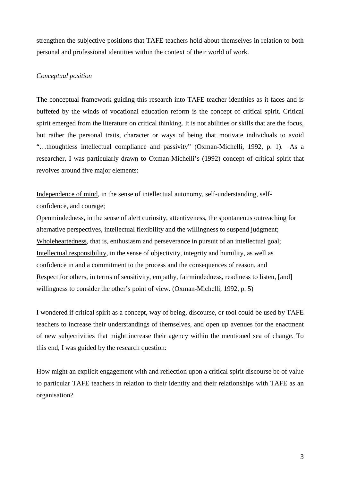strengthen the subjective positions that TAFE teachers hold about themselves in relation to both personal and professional identities within the context of their world of work.

## *Conceptual position*

The conceptual framework guiding this research into TAFE teacher identities as it faces and is buffeted by the winds of vocational education reform is the concept of critical spirit. Critical spirit emerged from the literature on critical thinking. It is not abilities or skills that are the focus, but rather the personal traits, character or ways of being that motivate individuals to avoid "…thoughtless intellectual compliance and passivity" (Oxman-Michelli, 1992, p. 1). As a researcher, I was particularly drawn to Oxman-Michelli's (1992) concept of critical spirit that revolves around five major elements:

Independence of mind, in the sense of intellectual autonomy, self-understanding, selfconfidence, and courage;

Openmindedness, in the sense of alert curiosity, attentiveness, the spontaneous outreaching for alternative perspectives, intellectual flexibility and the willingness to suspend judgment; Wholeheartedness, that is, enthusiasm and perseverance in pursuit of an intellectual goal; Intellectual responsibility, in the sense of objectivity, integrity and humility, as well as confidence in and a commitment to the process and the consequences of reason, and Respect for others, in terms of sensitivity, empathy, fairmindedness, readiness to listen, [and] willingness to consider the other's point of view. (Oxman-Michelli, 1992, p. 5)

I wondered if critical spirit as a concept, way of being, discourse, or tool could be used by TAFE teachers to increase their understandings of themselves, and open up avenues for the enactment of new subjectivities that might increase their agency within the mentioned sea of change. To this end, I was guided by the research question:

How might an explicit engagement with and reflection upon a critical spirit discourse be of value to particular TAFE teachers in relation to their identity and their relationships with TAFE as an organisation?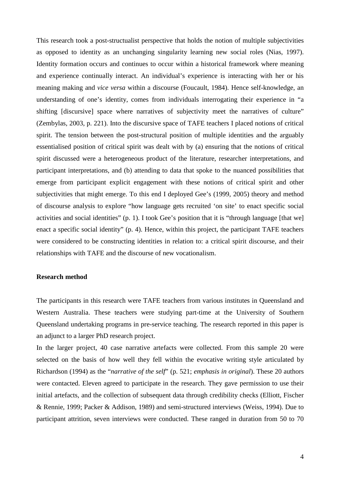This research took a post-structualist perspective that holds the notion of multiple subjectivities as opposed to identity as an unchanging singularity learning new social roles (Nias, 1997). Identity formation occurs and continues to occur within a historical framework where meaning and experience continually interact. An individual's experience is interacting with her or his meaning making and *vice versa* within a discourse (Foucault, 1984). Hence self-knowledge, an understanding of one's identity, comes from individuals interrogating their experience in "a shifting [discursive] space where narratives of subjectivity meet the narratives of culture" (Zembylas, 2003, p. 221). Into the discursive space of TAFE teachers I placed notions of critical spirit. The tension between the post-structural position of multiple identities and the arguably essentialised position of critical spirit was dealt with by (a) ensuring that the notions of critical spirit discussed were a heterogeneous product of the literature, researcher interpretations, and participant interpretations, and (b) attending to data that spoke to the nuanced possibilities that emerge from participant explicit engagement with these notions of critical spirit and other subjectivities that might emerge. To this end I deployed Gee's (1999, 2005) theory and method of discourse analysis to explore "how language gets recruited 'on site' to enact specific social activities and social identities" (p. 1). I took Gee's position that it is "through language [that we] enact a specific social identity" (p. 4). Hence, within this project, the participant TAFE teachers were considered to be constructing identities in relation to: a critical spirit discourse, and their relationships with TAFE and the discourse of new vocationalism.

### **Research method**

The participants in this research were TAFE teachers from various institutes in Queensland and Western Australia. These teachers were studying part-time at the University of Southern Queensland undertaking programs in pre-service teaching. The research reported in this paper is an adjunct to a larger PhD research project.

In the larger project, 40 case narrative artefacts were collected. From this sample 20 were selected on the basis of how well they fell within the evocative writing style articulated by Richardson (1994) as the "*narrative of the self*" (p. 521; *emphasis in original*). These 20 authors were contacted. Eleven agreed to participate in the research. They gave permission to use their initial artefacts, and the collection of subsequent data through credibility checks (Elliott, Fischer & Rennie, 1999; Packer & Addison, 1989) and semi-structured interviews (Weiss, 1994). Due to participant attrition, seven interviews were conducted. These ranged in duration from 50 to 70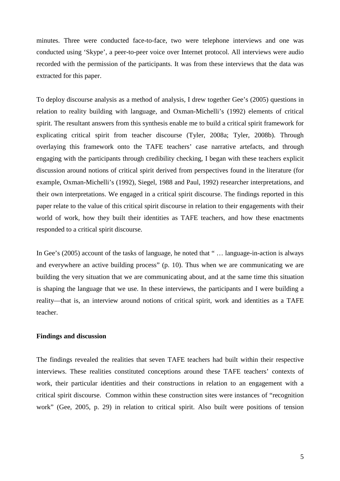minutes. Three were conducted face-to-face, two were telephone interviews and one was conducted using 'Skype', a peer-to-peer voice over Internet protocol. All interviews were audio recorded with the permission of the participants. It was from these interviews that the data was extracted for this paper.

To deploy discourse analysis as a method of analysis, I drew together Gee's (2005) questions in relation to reality building with language, and Oxman-Michelli's (1992) elements of critical spirit. The resultant answers from this synthesis enable me to build a critical spirit framework for explicating critical spirit from teacher discourse (Tyler, 2008a; Tyler, 2008b). Through overlaying this framework onto the TAFE teachers' case narrative artefacts, and through engaging with the participants through credibility checking, I began with these teachers explicit discussion around notions of critical spirit derived from perspectives found in the literature (for example, Oxman-Michelli's (1992), Siegel, 1988 and Paul, 1992) researcher interpretations, and their own interpretations. We engaged in a critical spirit discourse. The findings reported in this paper relate to the value of this critical spirit discourse in relation to their engagements with their world of work, how they built their identities as TAFE teachers, and how these enactments responded to a critical spirit discourse.

In Gee's (2005) account of the tasks of language, he noted that " … language-in-action is always and everywhere an active building process" (p. 10). Thus when we are communicating we are building the very situation that we are communicating about, and at the same time this situation is shaping the language that we use. In these interviews, the participants and I were building a reality—that is, an interview around notions of critical spirit, work and identities as a TAFE teacher.

### **Findings and discussion**

The findings revealed the realities that seven TAFE teachers had built within their respective interviews. These realities constituted conceptions around these TAFE teachers' contexts of work, their particular identities and their constructions in relation to an engagement with a critical spirit discourse. Common within these construction sites were instances of "recognition work" (Gee, 2005, p. 29) in relation to critical spirit. Also built were positions of tension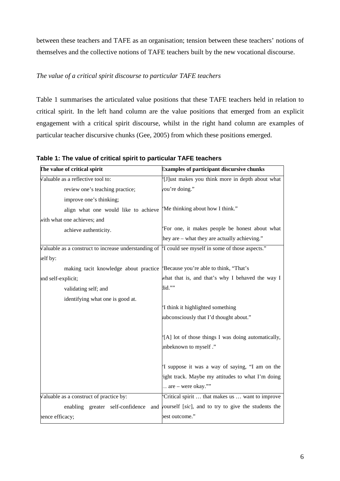between these teachers and TAFE as an organisation; tension between these teachers' notions of themselves and the collective notions of TAFE teachers built by the new vocational discourse.

# *The value of a critical spirit discourse to particular TAFE teachers*

Table 1 summarises the articulated value positions that these TAFE teachers held in relation to critical spirit. In the left hand column are the value positions that emerged from an explicit engagement with a critical spirit discourse, whilst in the right hand column are examples of particular teacher discursive chunks (Gee, 2005) from which these positions emerged.

| The value of critical spirit                         | <b>Examples of participant discursive chunks</b>    |
|------------------------------------------------------|-----------------------------------------------------|
| Valuable as a reflective tool to:                    | [J]ust makes you think more in depth about what     |
| review one's teaching practice;                      | you're doing."                                      |
| improve one's thinking;                              |                                                     |
| align what one would like to achieve                 | 'Me thinking about how I think."                    |
| with what one achieves; and                          |                                                     |
| achieve authenticity.                                | 'For one, it makes people be honest about what      |
|                                                      | they are – what they are actually achieving."       |
| Valuable as a construct to increase understanding of | 'I could see myself in some of those aspects."      |
| self by:                                             |                                                     |
| making tacit knowledge about practice                | 'Because you're able to think, "That's              |
| and self-explicit;                                   | what that is, and that's why I behaved the way I    |
| validating self; and                                 | $\text{lid.}^{\cdots}$                              |
| identifying what one is good at.                     |                                                     |
|                                                      | 'I think it highlighted something                   |
|                                                      | subconsciously that I'd thought about."             |
|                                                      | [A] lot of those things I was doing automatically,  |
|                                                      | inbeknown to myself."                               |
|                                                      | 'I suppose it was a way of saying, "I am on the     |
|                                                      | right track. Maybe my attitudes to what I'm doing   |
|                                                      | $\therefore$ are – were okay.""                     |
| Valuable as a construct of practice by:              | Critical spirit  that makes us  want to improve     |
| enabling greater self-confidence<br>and              | yourself [sic], and to try to give the students the |
| nence efficacy;                                      | best outcome."                                      |

**Table 1: The value of critical spirit to particular TAFE teachers**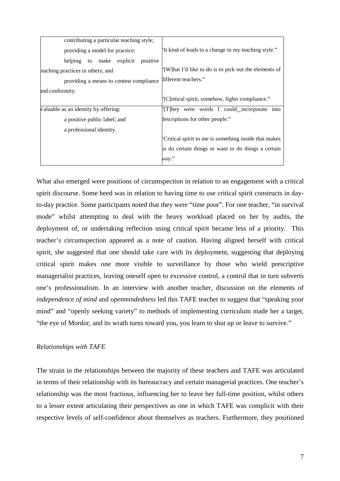| contributing a particular teaching style;  |                                                        |
|--------------------------------------------|--------------------------------------------------------|
| providing a model for practice;            | 'It kind of leads to a change in my teaching style."   |
| make explicit<br>positive<br>helping<br>to |                                                        |
| eaching practices in others; and           | '[W] hat I'd like to do is to pick out the elements of |
| providing a means to contest compliance    | llifferent teachers."                                  |
| and conformity.                            |                                                        |
|                                            | '[C]ritical spirit, somehow, fights compliance."       |
| Valuable as an identity by offering:       | They were words I could incorporate into               |
| a positive public label; and               | lescriptions for other people."                        |
| a professional identity.                   |                                                        |
|                                            | Critical spirit to me is something inside that makes   |
|                                            | us do certain things or want to do things a certain    |
|                                            | .",way                                                 |

What also emerged were positions of circumspection in relation to an engagement with a critical spirit discourse. Some heed was in relation to having time to use critical spirit constructs in dayto-day practice. Some participants noted that they were "time poor". For one teacher, "in survival mode" whilst attempting to deal with the heavy workload placed on her by audits, the deployment of, or undertaking reflection using critical spirit became less of a priority. This teacher's circumspection appeared as a note of caution. Having aligned herself with critical spirit, she suggested that one should take care with its deployment, suggesting that deploying critical spirit makes one more visible to surveillance by those who wield prescriptive managerialist practices, leaving oneself open to excessive control, a control that in turn subverts one's professionalism. In an interview with another teacher, discussion on the elements of *independence of mind* and *openmindedness* led this TAFE teacher to suggest that "speaking your mind" and "openly seeking variety" to methods of implementing curriculum made her a target, "the eye of Mordor, and its wrath turns toward you, you learn to shut up or leave to survive."

## *Relationships with TAFE*

The strain in the relationships between the majority of these teachers and TAFE was articulated in terms of their relationship with its bureaucracy and certain managerial practices. One teacher's relationship was the most fractious, influencing her to leave her full-time position, whilst others to a lesser extent articulating their perspectives as one in which TAFE was complicit with their respective levels of self-confidence about themselves as teachers. Furthermore, they positioned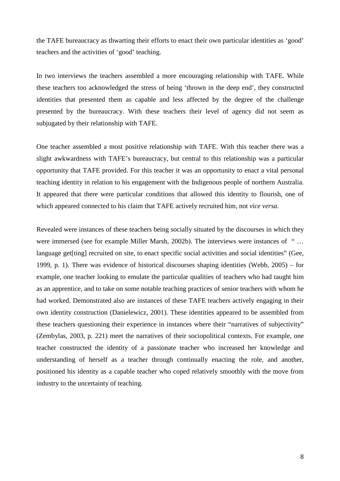the TAFE bureaucracy as thwarting their efforts to enact their own particular identities as 'good' teachers and the activities of 'good' teaching.

In two interviews the teachers assembled a more encouraging relationship with TAFE. While these teachers too acknowledged the stress of being 'thrown in the deep end', they constructed identities that presented them as capable and less affected by the degree of the challenge presented by the bureaucracy. With these teachers their level of agency did not seem as subjugated by their relationship with TAFE.

One teacher assembled a most positive relationship with TAFE. With this teacher there was a slight awkwardness with TAFE's bureaucracy, but central to this relationship was a particular opportunity that TAFE provided. For this teacher it was an opportunity to enact a vital personal teaching identity in relation to his engagement with the Indigenous people of northern Australia. It appeared that there were particular conditions that allowed this identity to flourish, one of which appeared connected to his claim that TAFE actively recruited him, not *vice versa*.

Revealed were instances of these teachers being socially situated by the discourses in which they were immersed (see for example Miller Marsh, 2002b). The interviews were instances of "... language get[ting] recruited on site, to enact specific social activities and social identities" (Gee, 1999, p. 1). There was evidence of historical discourses shaping identities (Webb, 2005) – for example, one teacher looking to emulate the particular qualities of teachers who had taught him as an apprentice, and to take on some notable teaching practices of senior teachers with whom he had worked. Demonstrated also are instances of these TAFE teachers actively engaging in their own identity construction (Danielewicz, 2001). These identities appeared to be assembled from these teachers questioning their experience in instances where their "narratives of subjectivity" (Zembylas, 2003, p. 221) meet the narratives of their sociopolitical contexts. For example, one teacher constructed the identity of a passionate teacher who increased her knowledge and understanding of herself as a teacher through continually enacting the role, and another, positioned his identity as a capable teacher who coped relatively smoothly with the move from industry to the uncertainty of teaching.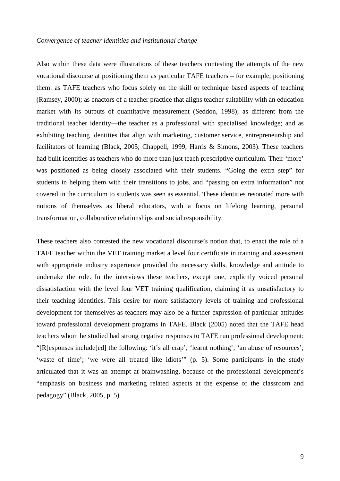Also within these data were illustrations of these teachers contesting the attempts of the new vocational discourse at positioning them as particular TAFE teachers – for example, positioning them: as TAFE teachers who focus solely on the skill or technique based aspects of teaching (Ramsey, 2000); as enactors of a teacher practice that aligns teacher suitability with an education market with its outputs of quantitative measurement (Seddon, 1998); as different from the traditional teacher identity—the teacher as a professional with specialised knowledge; and as exhibiting teaching identities that align with marketing, customer service, entrepreneurship and facilitators of learning (Black, 2005; Chappell, 1999; Harris & Simons, 2003). These teachers had built identities as teachers who do more than just teach prescriptive curriculum. Their 'more' was positioned as being closely associated with their students. "Going the extra step" for students in helping them with their transitions to jobs, and "passing on extra information" not covered in the curriculum to students was seen as essential. These identities resonated more with notions of themselves as liberal educators, with a focus on lifelong learning, personal transformation, collaborative relationships and social responsibility.

These teachers also contested the new vocational discourse's notion that, to enact the role of a TAFE teacher within the VET training market a level four certificate in training and assessment with appropriate industry experience provided the necessary skills, knowledge and attitude to undertake the role. In the interviews these teachers, except one, explicitly voiced personal dissatisfaction with the level four VET training qualification, claiming it as unsatisfactory to their teaching identities. This desire for more satisfactory levels of training and professional development for themselves as teachers may also be a further expression of particular attitudes toward professional development programs in TAFE. Black (2005) noted that the TAFE head teachers whom he studied had strong negative responses to TAFE run professional development: "[R]esponses include[ed] the following: 'it's all crap'; 'learnt nothing'; 'an abuse of resources'; 'waste of time'; 'we were all treated like idiots'" (p. 5). Some participants in the study articulated that it was an attempt at brainwashing, because of the professional development's "emphasis on business and marketing related aspects at the expense of the classroom and pedagogy" (Black, 2005, p. 5).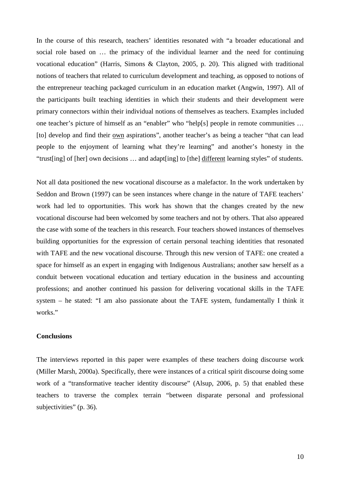In the course of this research, teachers' identities resonated with "a broader educational and social role based on … the primacy of the individual learner and the need for continuing vocational education" (Harris, Simons & Clayton, 2005, p. 20). This aligned with traditional notions of teachers that related to curriculum development and teaching, as opposed to notions of the entrepreneur teaching packaged curriculum in an education market (Angwin, 1997). All of the participants built teaching identities in which their students and their development were primary connectors within their individual notions of themselves as teachers. Examples included one teacher's picture of himself as an "enabler" who "help[s] people in remote communities … [to] develop and find their own aspirations", another teacher's as being a teacher "that can lead people to the enjoyment of learning what they're learning" and another's honesty in the "trust[ing] of [her] own decisions … and adapt[ing] to [the] different learning styles" of students.

Not all data positioned the new vocational discourse as a malefactor. In the work undertaken by Seddon and Brown (1997) can be seen instances where change in the nature of TAFE teachers' work had led to opportunities. This work has shown that the changes created by the new vocational discourse had been welcomed by some teachers and not by others. That also appeared the case with some of the teachers in this research. Four teachers showed instances of themselves building opportunities for the expression of certain personal teaching identities that resonated with TAFE and the new vocational discourse. Through this new version of TAFE: one created a space for himself as an expert in engaging with Indigenous Australians; another saw herself as a conduit between vocational education and tertiary education in the business and accounting professions; and another continued his passion for delivering vocational skills in the TAFE system – he stated: "I am also passionate about the TAFE system, fundamentally I think it works."

### **Conclusions**

The interviews reported in this paper were examples of these teachers doing discourse work (Miller Marsh, 2000a). Specifically, there were instances of a critical spirit discourse doing some work of a "transformative teacher identity discourse" (Alsup, 2006, p. 5) that enabled these teachers to traverse the complex terrain "between disparate personal and professional subjectivities" (p. 36).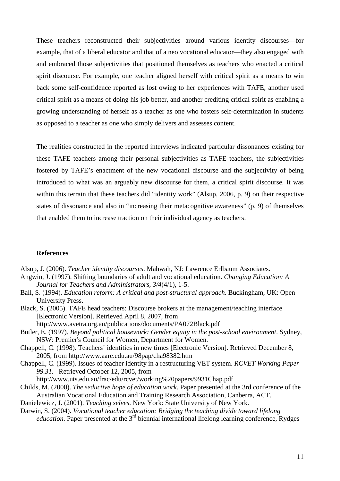These teachers reconstructed their subjectivities around various identity discourses—for example, that of a liberal educator and that of a neo vocational educator—they also engaged with and embraced those subjectivities that positioned themselves as teachers who enacted a critical spirit discourse. For example, one teacher aligned herself with critical spirit as a means to win back some self-confidence reported as lost owing to her experiences with TAFE, another used critical spirit as a means of doing his job better, and another crediting critical spirit as enabling a growing understanding of herself as a teacher as one who fosters self-determination in students as opposed to a teacher as one who simply delivers and assesses content.

The realities constructed in the reported interviews indicated particular dissonances existing for these TAFE teachers among their personal subjectivities as TAFE teachers, the subjectivities fostered by TAFE's enactment of the new vocational discourse and the subjectivity of being introduced to what was an arguably new discourse for them, a critical spirit discourse. It was within this terrain that these teachers did "identity work" (Alsup, 2006, p. 9) on their respective states of dissonance and also in "increasing their metacognitive awareness" (p. 9) of themselves that enabled them to increase traction on their individual agency as teachers.

## **References**

Alsup, J. (2006). *Teacher identity discourses*. Mahwah, NJ: Lawrence Erlbaum Associates.

- Angwin, J. (1997). Shifting boundaries of adult and vocational education. *Changing Education: A Journal for Teachers and Administrators, 3/4*(4/1), 1-5.
- Ball, S. (1994). *Education reform: A critical and post-structural approach*. Buckingham, UK: Open University Press.
- Black, S. (2005). TAFE head teachers: Discourse brokers at the management/teaching interface [Electronic Version]. Retrieved April 8, 2007, from

http://www.avetra.org.au/publications/documents/PA072Black.pdf

- Butler, E. (1997). *Beyond political housework: Gender equity in the post-school environment*. Sydney, NSW: Premier's Council for Women, Department for Women.
- Chappell, C. (1998). Teachers' identities in new times [Electronic Version]. Retrieved December 8, 2005, from http://www.aare.edu.au/98pap/cha98382.htm
- Chappell, C. (1999). Issues of teacher identity in a restructuring VET system. *RCVET Working Paper 99.31.* Retrieved October 12, 2005, from
	- http://www.uts.edu.au/frac/edu/rcvet/working%20papers/9931Chap.pdf
- Childs, M. (2000). *The seductive hope of education work*. Paper presented at the 3rd conference of the Australian Vocational Education and Training Research Association, Canberra, ACT.

Danielewicz, J. (2001). *Teaching selves*. New York: State University of New York.

Darwin, S. (2004). *Vocational teacher education: Bridging the teaching divide toward lifelong education*. Paper presented at the 3<sup>rd</sup> biennial international lifelong learning conference, Rydges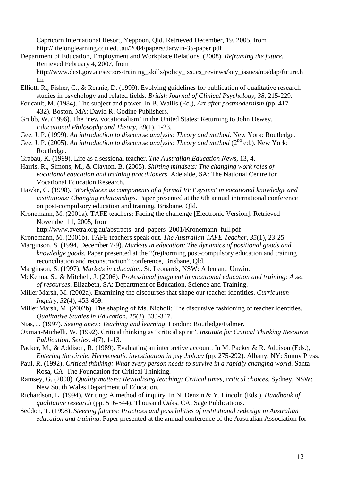Capricorn International Resort, Yeppoon, Qld. Retrieved December, 19, 2005, from http://lifelonglearning.cqu.edu.au/2004/papers/darwin-35-paper.pdf

Department of Education, Employment and Workplace Relations. (2008). *Reframing the future*. Retrieved February 4, 2007, from http://www.dest.gov.au/sectors/training\_skills/policy\_issues\_reviews/key\_issues/nts/dap/future.h

tm

- Elliott, R., Fisher, C., & Rennie, D. (1999). Evolving guidelines for publication of qualitative research studies in psychology and related fields. *British Journal of Clinical Psychology, 38*, 215-229.
- Foucault, M. (1984). The subject and power. In B. Wallis (Ed.), *Art after postmodernism* (pp. 417- 432). Boston, MA: David R. Godine Publishers.
- Grubb, W. (1996). The 'new vocationalism' in the United States: Returning to John Dewey. *Educational Philosophy and Theory, 28*(1), 1-23.
- Gee, J. P. (1999). *An introduction to discourse analysis: Theory and method*. New York: Routledge.
- Gee, J. P. (2005). An introduction to discourse analysis: Theory and method (2<sup>nd</sup> ed.). New York: Routledge.
- Grabau, K. (1999). Life as a sessional teacher. *The Australian Education News,* 13, 4.
- Harris, R., Simons, M., & Clayton, B. (2005). *Shifting mindsets: The changing work roles of vocational education and training practitioners*. Adelaide, SA: The National Centre for Vocational Education Research.
- Hawke, G. (1998). *'Workplaces as components of a formal VET system' in vocational knowledge and institutions: Changing relationships.* Paper presented at the 6th annual international conference on post-compulsory education and training, Brisbane, Qld.
- Kronemann, M. (2001a). TAFE teachers: Facing the challenge [Electronic Version]. Retrieved November 11, 2005, from

http://www.avetra.org.au/abstracts\_and\_papers\_2001/Kronemann\_full.pdf

Kronemann, M. (2001b). TAFE teachers speak out. *The Australian TAFE Teacher, 35*(1), 23-25.

- Marginson, S. (1994, December 7-9). *Markets in education: The dynamics of positional goods and knowledge goods*. Paper presented at the "(re)Forming post-compulsory education and training reconciliation and reconstruction" conference, Brisbane, Qld.
- Marginson, S. (1997). *Markets in education*. St. Leonards, NSW: Allen and Unwin.
- McKenna, S., & Mitchell, J. (2006). *Professional judgment in vocational education and training: A set of resources*. Elizabeth, SA: Department of Education, Science and Training.
- Miller Marsh, M. (2002a). Examining the discourses that shape our teacher identities. *Curriculum Inquiry, 32*(4), 453-469.
- Miller Marsh, M. (2002b). The shaping of Ms. Nicholi: The discursive fashioning of teacher identities. *Qualitative Studies in Education, 15*(3), 333-347.
- Nias, J. (1997). *Seeing anew: Teaching and learning*. London: Routledge/Falmer.
- Oxman-Michelli, W. (1992). Critical thinking as "critical spirit". *Institute for Critical Thinking Resource Publication, Series, 4*(7), 1-13.

Packer, M., & Addison, R. (1989). Evaluating an interpretive account. In M. Packer & R. Addison (Eds.), *Entering the circle: Hermeneutic investigation in psychology* (pp. 275-292). Albany, NY: Sunny Press.

- Paul, R. (1992). *Critical thinking: What every person needs to survive in a rapidly changing world*. Santa Rosa, CA: The Foundation for Critical Thinking.
- Ramsey, G. (2000). *Quality matters: Revitalising teaching: Critical times, critical choices.* Sydney, NSW: New South Wales Department of Education.
- Richardson, L. (1994). Writing: A method of inquiry. In N. Denzin & Y. Lincoln (Eds.), *Handbook of qualitative research* (pp. 516-544). Thousand Oaks, CA: Sage Publications.
- Seddon, T. (1998). *Steering futures: Practices and possibilities of institutional redesign in Australian education and training*. Paper presented at the annual conference of the Australian Association for